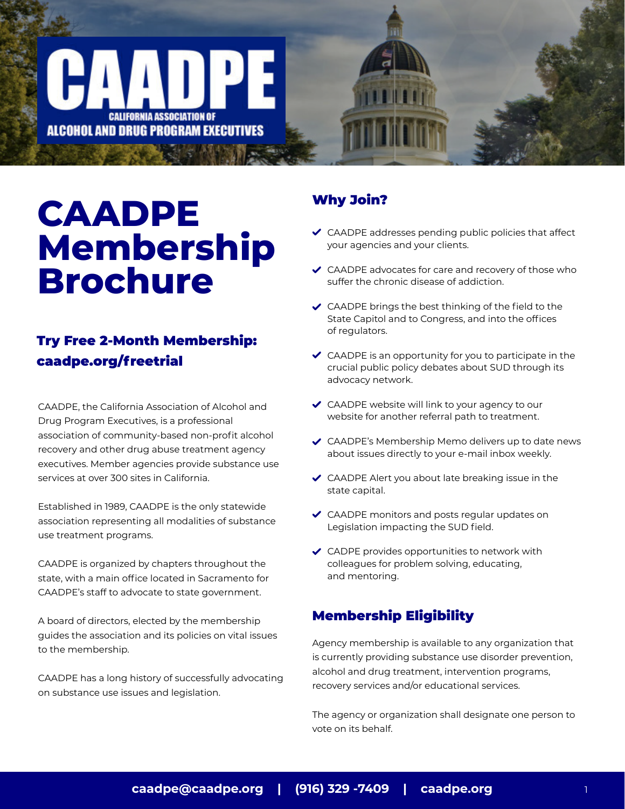# **CAADPE Membership Brochure**

**CALIFORNIA ASSOCIATION OF** ALCOHOL AND DRUG PROGRAM EXECUTIVES

# [Try Free 2-Month Membership:](https://caadpe.org/freetrial)  caadpe.org/freetrial

CAADPE, the California Association of Alcohol and Drug Program Executives, is a professional association of community-based non-profit alcohol recovery and other drug abuse treatment agency executives. Member agencies provide substance use services at over 300 sites in California.

Established in 1989, CAADPE is the only statewide association representing all modalities of substance use treatment programs.

CAADPE is organized by chapters throughout the state, with a main office located in Sacramento for CAADPE's staff to advocate to state government.

A board of directors, elected by the membership guides the association and its policies on vital issues to the membership.

CAADPE has a long history of successfully advocating on substance use issues and legislation.

### Why Join?

- $\triangleleft$  CAADPE addresses pending public policies that affect your agencies and your clients.
- ◆ CAADPE advocates for care and recovery of those who suffer the chronic disease of addiction.
- $\triangleleft$  CAADPE brings the best thinking of the field to the State Capitol and to Congress, and into the offices of regulators.
- $\triangleleft$  CAADPE is an opportunity for you to participate in the crucial public policy debates about SUD through its advocacy network.
- ◆ CAADPE website will link to your agency to our website for another referral path to treatment.
- CAADPE's Membership Memo delivers up to date news about issues directly to your e-mail inbox weekly.
- CAADPE Alert you about late breaking issue in the state capital.
- ◆ CAADPE monitors and posts regular updates on Legislation impacting the SUD field.
- ◆ CADPE provides opportunities to network with colleagues for problem solving, educating, and mentoring.

#### Membership Eligibility

Agency membership is available to any organization that is currently providing substance use disorder prevention, alcohol and drug treatment, intervention programs, recovery services and/or educational services.

The agency or organization shall designate one person to vote on its behalf.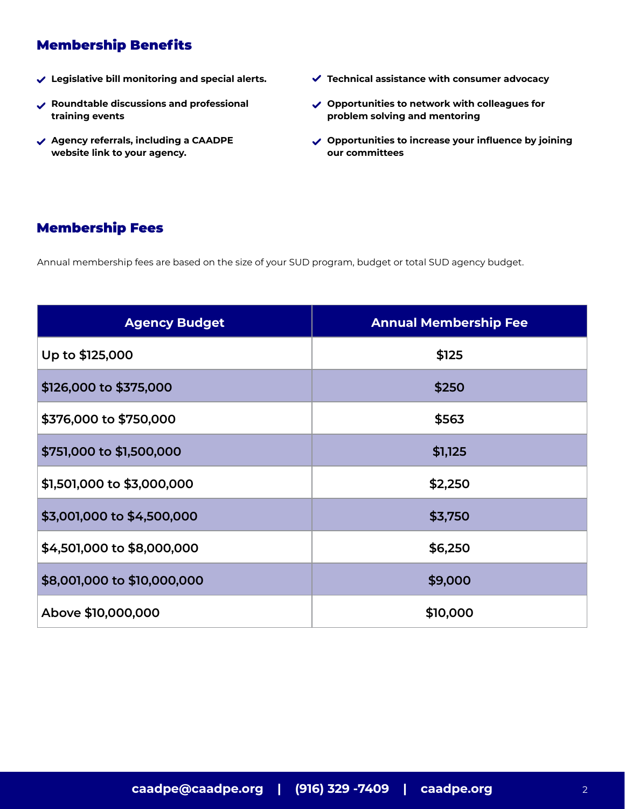# Membership Benefits

- **Legislative bill monitoring and special alerts.**
- **Roundtable discussions and professional training events**
- **Agency referrals, including a CAADPE website link to your agency.**
- **Technical assistance with consumer advocacy**
- **Opportunities to network with colleagues for problem solving and mentoring**
- **Opportunities to increase your influence by joining our committees**

### Membership Fees

Annual membership fees are based on the size of your SUD program, budget or total SUD agency budget.

| <b>Agency Budget</b>        | <b>Annual Membership Fee</b> |
|-----------------------------|------------------------------|
| Up to \$125,000             | \$125                        |
| \$126,000 to \$375,000      | \$250                        |
| \$376,000 to \$750,000      | \$563                        |
| \$751,000 to \$1,500,000    | \$1,125                      |
| \$1,501,000 to \$3,000,000  | \$2,250                      |
| \$3,001,000 to \$4,500,000  | \$3,750                      |
| \$4,501,000 to \$8,000,000  | \$6,250                      |
| \$8,001,000 to \$10,000,000 | \$9,000                      |
| Above \$10,000,000          | \$10,000                     |